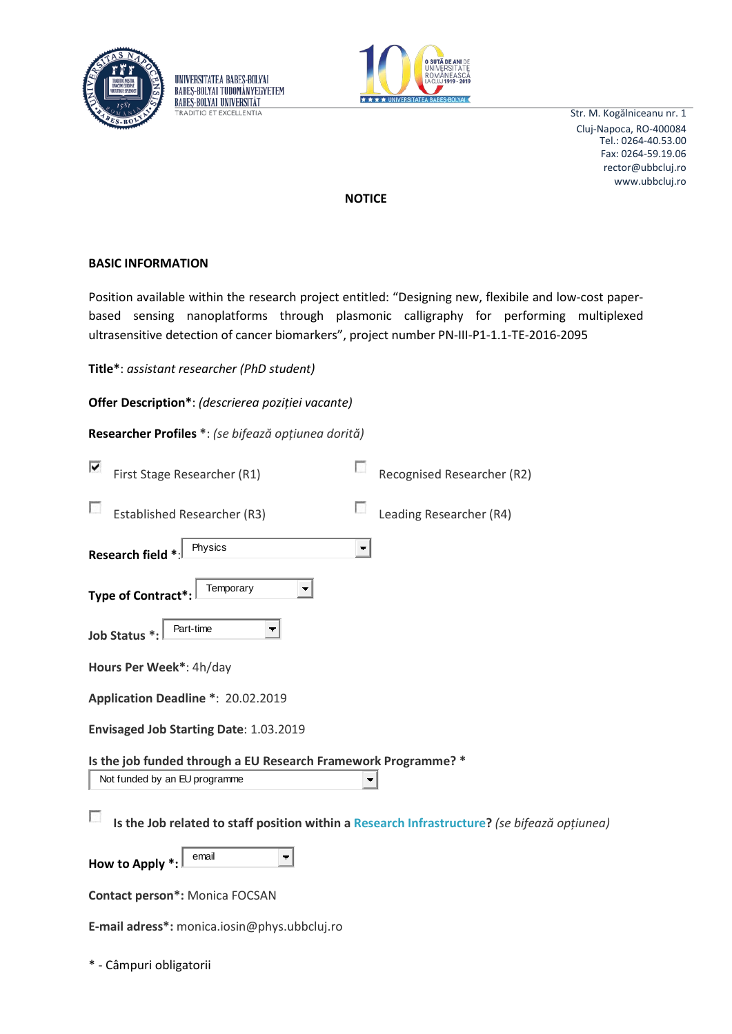



Str. M. Kogălniceanu nr. 1 Cluj-Napoca, RO-400084 rector@ubbcluj.ro www.ubbcluj.ro Tel.: 0264-40.53.00 Fax: 0264-59.19.06

 $\Omega$ 

**NOTICE**

## **BASIC INFORMATION**

Position available within the research project entitled: "Designing new, flexibile and low-cost paperbased sensing nanoplatforms through plasmonic calligraphy for performing multiplexed ultrasensitive detection of cancer biomarkers", project number PN-III-P1-1.1-TE-2016-2095

**Title\***: *assistant researcher (PhD student)*

| Offer Description*: (descrierea poziției vacante) |  |  |  |
|---------------------------------------------------|--|--|--|
|---------------------------------------------------|--|--|--|

UNIVERSITATEA BABES-BOLYAI **BABES-BOLYAL TUDOMÁNYEGYETEM BABES-BOLYAL UNIVERSITÄT TRADITIO ET EXCELLENTIA** 

**Researcher Profiles \***: *(se bifează opțiunea dorită)*

| ▽ | First Stage Researcher (R1)                                                        |   | Recognised Researcher (R2) |
|---|------------------------------------------------------------------------------------|---|----------------------------|
|   | <b>Established Researcher (R3)</b>                                                 |   | Leading Researcher (R4)    |
|   | Physics<br>Research field *                                                        | ▼ |                            |
|   | Temporary<br>Type of Contract*:                                                    |   |                            |
|   | Part-time<br>Job Status *                                                          |   |                            |
|   | Hours Per Week*: 4h/day                                                            |   |                            |
|   | Application Deadline *: 20.02.2019                                                 |   |                            |
|   | Envisaged Job Starting Date: 1.03.2019                                             |   |                            |
|   | Is the job funded through a EU Research Framework Programme? *                     |   |                            |
|   | Not funded by an EU programme                                                      |   |                            |
|   | Is the Job related to staff position within a Research Infrastructure? (se bifează |   |                            |
|   | email<br>How to Apply *:                                                           |   |                            |
|   | <b>Contact person*: Monica FOCSAN</b>                                              |   |                            |
|   |                                                                                    |   |                            |

**E-mail adress\*:** monica.iosin@phys.ubbcluj.ro

\* - Câmpuri obligatorii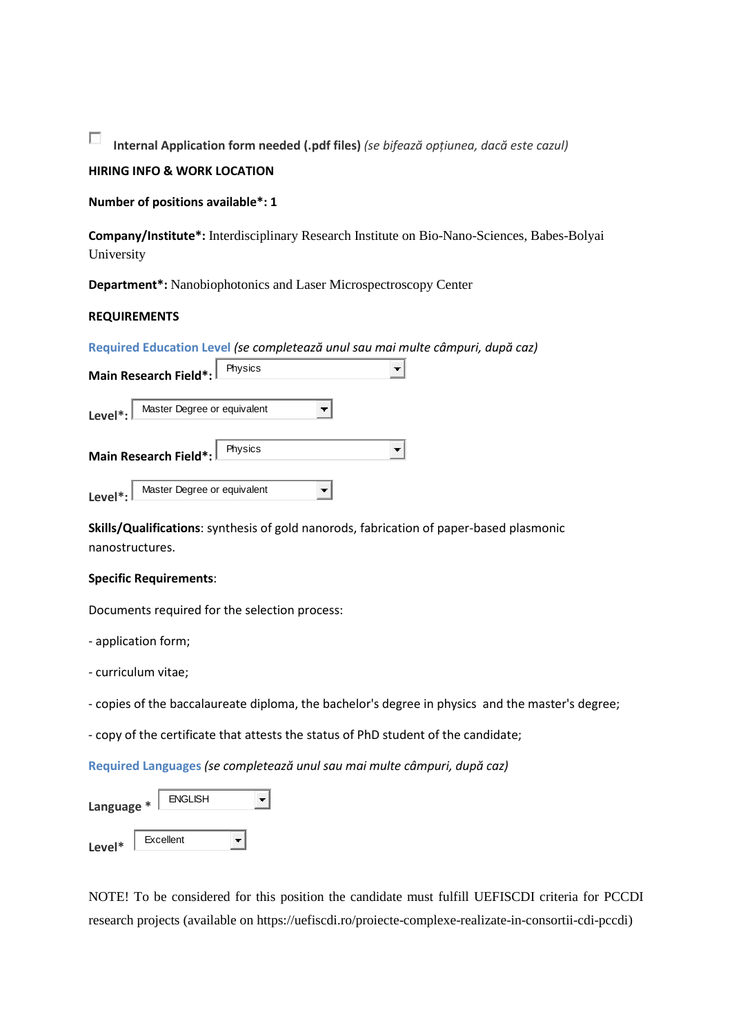$\overline{\mathcal{L}}$ **Internal Application form needed (.pdf files)** *(se bifează opțiunea, dacă este cazul)*

# **HIRING INFO & WORK LOCATION**

**Number of positions available\*: 1**

**Company/Institute\*:** Interdisciplinary Research Institute on Bio-Nano-Sciences, Babes-Bolyai University

**Department\*:** Nanobiophotonics and Laser Microspectroscopy Center

## **REQUIREMENTS**

**Required Education Level** *(se completează unul sau mai multe câmpuri, după caz)*

| Physics<br>Main Research Field*:                    |  |
|-----------------------------------------------------|--|
| Master Degree or equivalent<br>Level <sup>*</sup> : |  |
| Physics<br>Main Research Field*:                    |  |
| Master Degree or equivalent<br>Level <sup>*</sup> : |  |

**Skills/Qualifications**: synthesis of gold nanorods, fabrication of paper-based plasmonic nanostructures.

#### **Specific Requirements**:

Documents required for the selection process:

- application form;

- curriculum vitae;

- copies of the baccalaureate diploma, the bachelor's degree in physics and the master's degree;

- copy of the certificate that attests the status of PhD student of the candidate;

**Required Languages** *(se completează unul sau mai multe câmpuri, după caz)*

| Language * | <b>ENGLISH</b> |  |
|------------|----------------|--|
| Level*     | Excellent      |  |

NOTE! To be considered for this position the candidate must fulfill UEFISCDI criteria for PCCDI research projects (available on https://uefiscdi.ro/proiecte-complexe-realizate-in-consortii-cdi-pccdi)